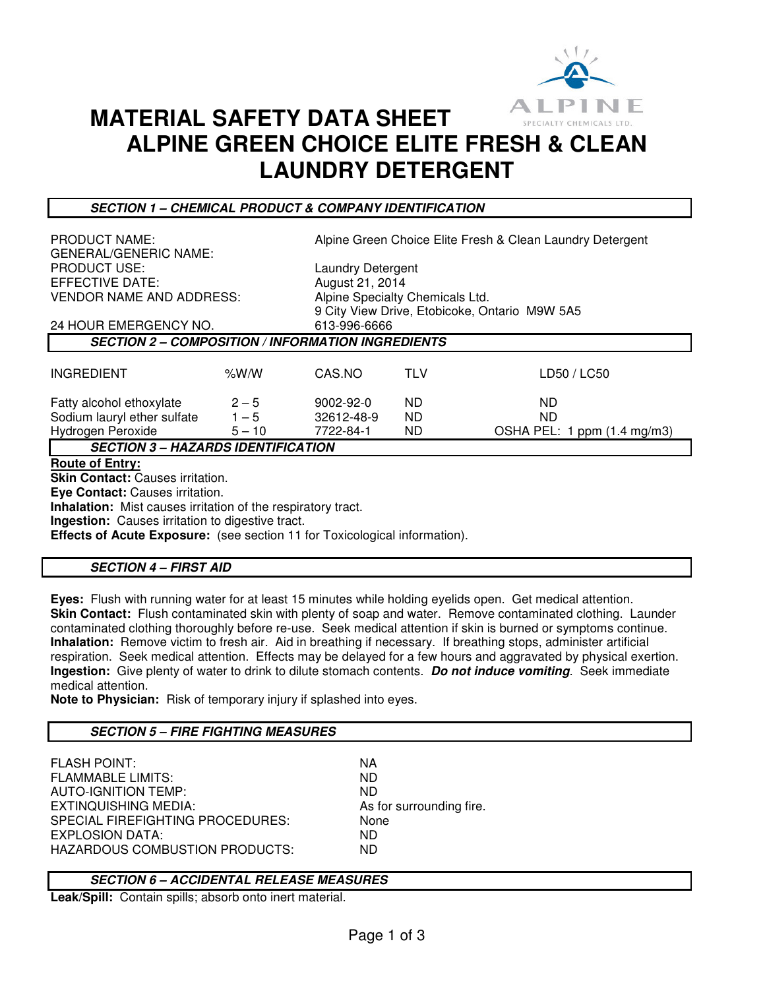

# **MATERIAL SAFETY DATA SHEET ALPINE GREEN CHOICE ELITE FRESH & CLEAN LAUNDRY DETERGENT**

**SECTION 1 – CHEMICAL PRODUCT & COMPANY IDENTIFICATION** 

| <b>PRODUCT NAME:</b><br><b>GENERAL/GENERIC NAME:</b><br><b>PRODUCT USE:</b><br>EFFECTIVE DATE: |          |                 | Alpine Green Choice Elite Fresh & Clean Laundry Detergent |                                               |  |  |  |
|------------------------------------------------------------------------------------------------|----------|-----------------|-----------------------------------------------------------|-----------------------------------------------|--|--|--|
|                                                                                                |          |                 |                                                           |                                               |  |  |  |
|                                                                                                |          |                 | <b>Laundry Detergent</b>                                  |                                               |  |  |  |
|                                                                                                |          | August 21, 2014 |                                                           |                                               |  |  |  |
| <b>VENDOR NAME AND ADDRESS:</b>                                                                |          |                 | Alpine Specialty Chemicals Ltd.                           |                                               |  |  |  |
|                                                                                                |          |                 |                                                           | 9 City View Drive, Etobicoke, Ontario M9W 5A5 |  |  |  |
| 24 HOUR EMERGENCY NO.                                                                          |          |                 | 613-996-6666                                              |                                               |  |  |  |
| <b>SECTION 2 – COMPOSITION / INFORMATION INGREDIENTS</b>                                       |          |                 |                                                           |                                               |  |  |  |
|                                                                                                |          |                 |                                                           |                                               |  |  |  |
| <b>INGREDIENT</b>                                                                              | % $W/N$  | CAS.NO          | <b>TLV</b>                                                | LD50 / LC50                                   |  |  |  |
| Fatty alcohol ethoxylate                                                                       | $2 - 5$  | $9002 - 92 - 0$ | ND.                                                       | ND.                                           |  |  |  |
| Sodium lauryl ether sulfate                                                                    | $1 - 5$  | 32612-48-9      | ND.                                                       | ND.                                           |  |  |  |
| Hydrogen Peroxide                                                                              | $5 - 10$ | 7722-84-1       | ND.                                                       | OSHA PEL: 1 ppm (1.4 mg/m3)                   |  |  |  |
| <b>SECTION 3 – HAZARDS IDENTIFICATION</b>                                                      |          |                 |                                                           |                                               |  |  |  |
| <b>Route of Entry:</b>                                                                         |          |                 |                                                           |                                               |  |  |  |
| <b>Skin Contact: Causes irritation.</b>                                                        |          |                 |                                                           |                                               |  |  |  |
| Eye Contact: Causes irritation.                                                                |          |                 |                                                           |                                               |  |  |  |
| <b>Inhalation:</b> Mist causes irritation of the respiratory tract.                            |          |                 |                                                           |                                               |  |  |  |
| <b>Ingestion:</b> Causes irritation to digestive tract.                                        |          |                 |                                                           |                                               |  |  |  |

**Effects of Acute Exposure:** (see section 11 for Toxicological information).

**SECTION 4 – FIRST AID** 

**Eyes:** Flush with running water for at least 15 minutes while holding eyelids open. Get medical attention. **Skin Contact:** Flush contaminated skin with plenty of soap and water. Remove contaminated clothing. Launder contaminated clothing thoroughly before re-use. Seek medical attention if skin is burned or symptoms continue. **Inhalation:** Remove victim to fresh air. Aid in breathing if necessary. If breathing stops, administer artificial respiration. Seek medical attention. Effects may be delayed for a few hours and aggravated by physical exertion. **Ingestion:** Give plenty of water to drink to dilute stomach contents. **Do not induce vomiting**. Seek immediate medical attention.

**Note to Physician:** Risk of temporary injury if splashed into eyes.

## **SECTION 5 – FIRE FIGHTING MEASURES**

FLASH POINT: NA FLAMMABLE LIMITS: ND **AUTO-IGNITION TEMP:** EXTINQUISHING MEDIA: As for surrounding fire. SPECIAL FIREFIGHTING PROCEDURES: None **EXPLOSION DATA:** HAZARDOUS COMBUSTION PRODUCTS: ND

## **SECTION 6 – ACCIDENTAL RELEASE MEASURES**

**Leak/Spill:** Contain spills; absorb onto inert material.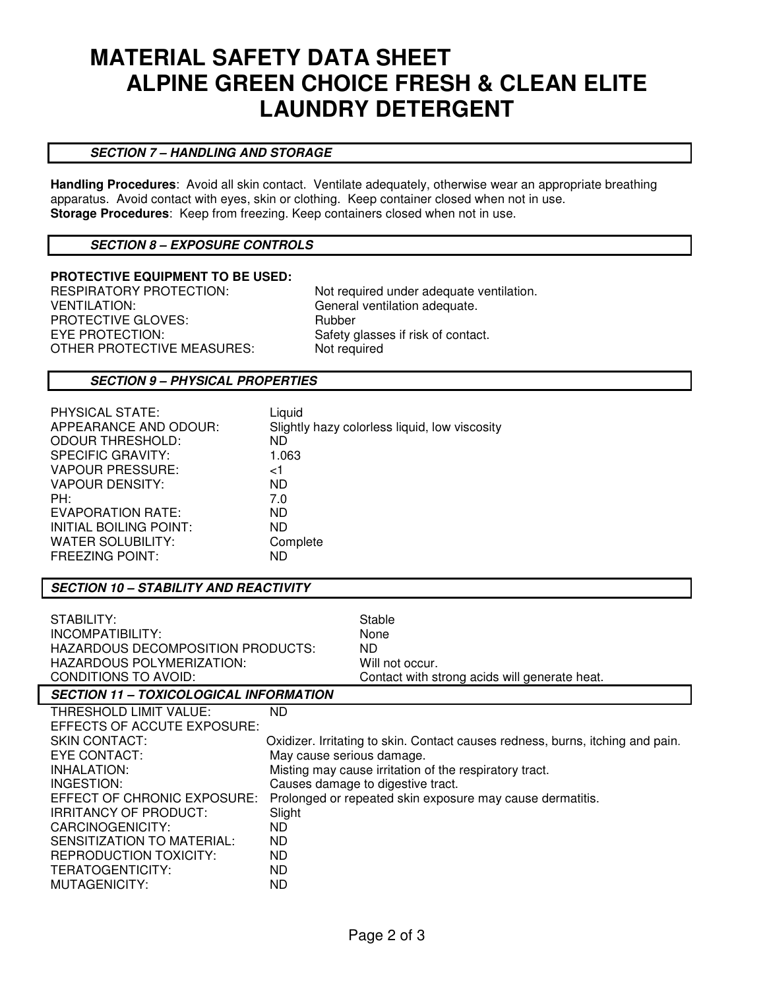# **MATERIAL SAFETY DATA SHEET ALPINE GREEN CHOICE FRESH & CLEAN ELITE LAUNDRY DETERGENT**

## **SECTION 7 – HANDLING AND STORAGE**

**Handling Procedures**: Avoid all skin contact. Ventilate adequately, otherwise wear an appropriate breathing apparatus. Avoid contact with eyes, skin or clothing. Keep container closed when not in use. **Storage Procedures**: Keep from freezing. Keep containers closed when not in use.

### **SECTION 8 – EXPOSURE CONTROLS**

#### **PROTECTIVE EQUIPMENT TO BE USED:**

VENTILATION: General ventilation adequate. PROTECTIVE GLOVES: Rubber EYE PROTECTION: Safety glasses if risk of contact. OTHER PROTECTIVE MEASURES: Not required

RESPIRATORY PROTECTION: Not required under adequate ventilation.

#### **SECTION 9 – PHYSICAL PROPERTIES**

| PHYSICAL STATE:          | Liquid                                        |
|--------------------------|-----------------------------------------------|
| APPEARANCE AND ODOUR:    | Slightly hazy colorless liquid, low viscosity |
| <b>ODOUR THRESHOLD:</b>  | ND.                                           |
| <b>SPECIFIC GRAVITY:</b> | 1.063                                         |
| <b>VAPOUR PRESSURE:</b>  | ا>                                            |
| VAPOUR DENSITY:          | ND.                                           |
| PH:                      | 7.0                                           |
| <b>EVAPORATION RATE:</b> | ND.                                           |
| INITIAL BOILING POINT:   | ND.                                           |
| WATER SOLUBILITY:        | Complete                                      |
| <b>FREEZING POINT:</b>   | ND                                            |

## **SECTION 10 – STABILITY AND REACTIVITY**

| STABILITY:                        | Stable      |
|-----------------------------------|-------------|
| INCOMPATIBILITY:                  | <b>None</b> |
| HAZARDOUS DECOMPOSITION PRODUCTS: | ND.         |
| HAZARDOUS POLYMERIZATION:         | Will no     |
| CONDITIONS TO AVOID:              | Contac      |

Will not occur. Contact with strong acids will generate heat.

# **SECTION 11 – TOXICOLOGICAL INFORMATION**

| THRESHOLD LIMIT VALUE:      | ND.                                                                            |
|-----------------------------|--------------------------------------------------------------------------------|
| EFFECTS OF ACCUTE EXPOSURE: |                                                                                |
| SKIN CONTACT:               | Oxidizer. Irritating to skin. Contact causes redness, burns, itching and pain. |
| EYE CONTACT:                | May cause serious damage.                                                      |
| INHALATION:                 | Misting may cause irritation of the respiratory tract.                         |
| INGESTION:                  | Causes damage to digestive tract.                                              |
| EFFECT OF CHRONIC EXPOSURE: | Prolonged or repeated skin exposure may cause dermatitis.                      |
| IRRITANCY OF PRODUCT:       | Slight                                                                         |
| CARCINOGENICITY:            | ND.                                                                            |
| SENSITIZATION TO MATERIAL:  | ND.                                                                            |
| REPRODUCTION TOXICITY:      | ND.                                                                            |
| TERATOGENTICITY:            | ND.                                                                            |
| MUTAGENICITY:               | ND.                                                                            |
|                             |                                                                                |